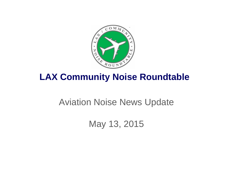

# **LAX Community Noise Roundtable**

# Aviation Noise News Update

May 13, 2015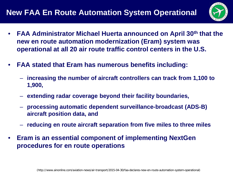

- **FAA Administrator Michael Huerta announced on April 30th that the new en route automation modernization (Eram) system was operational at all 20 air route traffic control centers in the U.S.**
- **FAA stated that Eram has numerous benefits including:**
	- **increasing the number of aircraft controllers can track from 1,100 to 1,900,**
	- **extending radar coverage beyond their facility boundaries,**
	- **processing automatic dependent surveillance-broadcast (ADS-B) aircraft position data, and**
	- **reducing en route aircraft separation from five miles to three miles**
- **Eram is an essential component of implementing NextGen procedures for en route operations**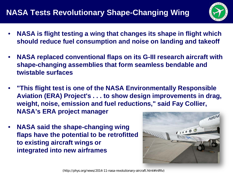

- **NASA is flight testing a wing that changes its shape in flight which should reduce fuel consumption and noise on landing and takeoff**
- **NASA replaced conventional flaps on its G-III research aircraft with shape-changing assemblies that form seamless bendable and twistable surfaces**
- **"This flight test is one of the NASA Environmentally Responsible Aviation (ERA) Project's . . . to show design improvements in drag, weight, noise, emission and fuel reductions," said Fay Collier, NASA's ERA project manager**
- **NASA said the shape-changing wing flaps have the potential to be retrofitted to existing aircraft wings or integrated into new airframes**

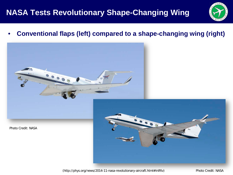#### **NASA Tests Revolutionary Shape-Changing Wing**



• **Conventional flaps (left) compared to a shape-changing wing (right)**



Photo Credit: NASA



(http://phys.org/news/2014-11-nasa-revolutionary-aircraft.html#inlRlv)

Photo Credit: NASA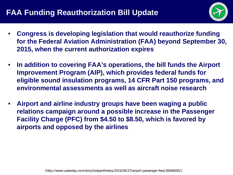

- **Congress is developing legislation that would reauthorize funding for the Federal Aviation Administration (FAA) beyond September 30, 2015, when the current authorization expires**
- **In addition to covering FAA's operations, the bill funds the Airport Improvement Program (AIP), which provides federal funds for eligible sound insulation programs, 14 CFR Part 150 programs, and environmental assessments as well as aircraft noise research**
- **Airport and airline industry groups have been waging a public relations campaign around a possible increase in the Passenger Facility Charge (PFC) from \$4.50 to \$8.50, which is favored by airports and opposed by the airlines**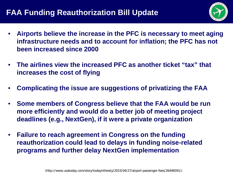#### **FAA Funding Reauthorization Bill Update**



- **Airports believe the increase in the PFC is necessary to meet aging infrastructure needs and to account for inflation; the PFC has not been increased since 2000**
- **The airlines view the increased PFC as another ticket "tax" that increases the cost of flying**
- **Complicating the issue are suggestions of privatizing the FAA**
- **Some members of Congress believe that the FAA would be run more efficiently and would do a better job of meeting project deadlines (e.g., NextGen), if it were a private organization**
- **Failure to reach agreement in Congress on the funding reauthorization could lead to delays in funding noise-related programs and further delay NextGen implementation**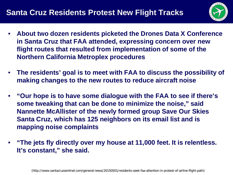

- **About two dozen residents picketed the Drones Data X Conference in Santa Cruz that FAA attended, expressing concern over new flight routes that resulted from implementation of some of the Northern California Metroplex procedures**
- **The residents' goal is to meet with FAA to discuss the possibility of making changes to the new routes to reduce aircraft noise**
- **"Our hope is to have some dialogue with the FAA to see if there's some tweaking that can be done to minimize the noise," said Nannette McAllister of the newly formed group Save Our Skies Santa Cruz, which has 125 neighbors on its email list and is mapping noise complaints**
- **"The jets fly directly over my house at 11,000 feet. It is relentless. It's constant," she said.**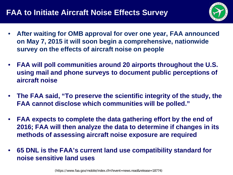

- **After waiting for OMB approval for over one year, FAA announced on May 7, 2015 it will soon begin a comprehensive, nationwide survey on the effects of aircraft noise on people**
- **FAA will poll communities around 20 airports throughout the U.S. using mail and phone surveys to document public perceptions of aircraft noise**
- **The FAA said, "To preserve the scientific integrity of the study, the FAA cannot disclose which communities will be polled."**
- **FAA expects to complete the data gathering effort by the end of 2016; FAA will then analyze the data to determine if changes in its methods of assessing aircraft noise exposure are required**
- **65 DNL is the FAA's current land use compatibility standard for noise sensitive land uses**